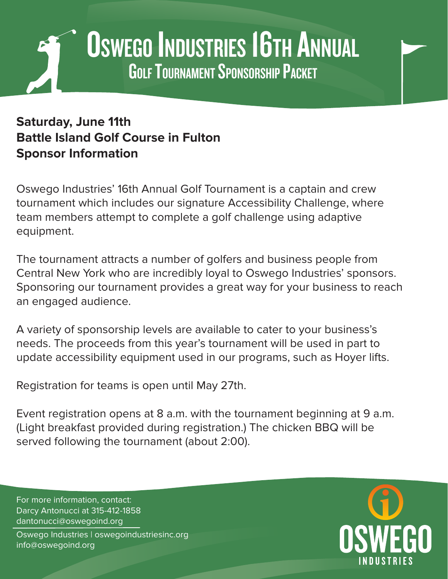# Oswego Industries 16th Annual **GOLF TOURNAMENT SPONSORSHIP PACKET**

### **Saturday, June 11th Battle Island Golf Course in Fulton Sponsor Information**

Oswego Industries' 16th Annual Golf Tournament is a captain and crew tournament which includes our signature Accessibility Challenge, where team members attempt to complete a golf challenge using adaptive equipment.

The tournament attracts a number of golfers and business people from Central New York who are incredibly loyal to Oswego Industries' sponsors. Sponsoring our tournament provides a great way for your business to reach an engaged audience.

A variety of sponsorship levels are available to cater to your business's needs. The proceeds from this year's tournament will be used in part to update accessibility equipment used in our programs, such as Hoyer lifts.

Registration for teams is open until May 27th.

Event registration opens at 8 a.m. with the tournament beginning at 9 a.m. (Light breakfast provided during registration.) The chicken BBQ will be served following the tournament (about 2:00).

For more information, contact: Darcy Antonucci at 315-412-1858 dantonucci@oswegoind.org Oswego Industries | oswegoindustriesinc.org info@oswegoind.org

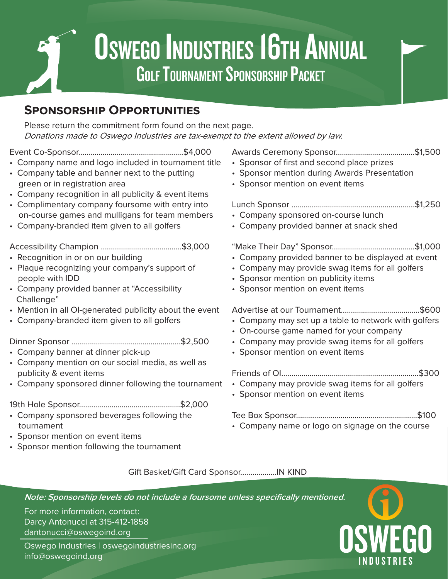### Oswego Industries 16th Annual **GOLF TOURNAMENT SPONSORSHIP PACKET**

#### **Sponsorship Opportunities**

Please return the commitment form found on the next page. Donations made to Oswego Industries are tax-exempt to the extent allowed by law.

Event Co-Sponsor....................................................\$4,000

- Company name and logo included in tournament title
- Company table and banner next to the putting green or in registration area
- Company recognition in all publicity & event items
- Complimentary company foursome with entry into on-course games and mulligans for team members
- Company-branded item given to all golfers

Accessibility Champion ........................................\$3,000

- Recognition in or on our building
- Plaque recognizing your company's support of people with IDD
- Company provided banner at "Accessibility Challenge"
- Mention in all OI-generated publicity about the event
- Company-branded item given to all golfers

Dinner Sponsor ......................................................\$2,500

- Company banner at dinner pick-up
- Company mention on our social media, as well as publicity & event items
- Company sponsored dinner following the tournament

19th Hole Sponsor..................................................\$2,000

- Company sponsored beverages following the tournament
- Sponsor mention on event items
- Sponsor mention following the tournament
- Awards Ceremony Sponsor.......................................\$1,500
- Sponsor of first and second place prizes
- Sponsor mention during Awards Presentation
- Sponsor mention on event items

Lunch Sponsor .............................................................\$1,250

- Company sponsored on-course lunch
- Company provided banner at snack shed

"Make Their Day" Sponsor.........................................\$1,000

- Company provided banner to be displayed at event
- Company may provide swag items for all golfers
- Sponsor mention on publicity items
- Sponsor mention on event items

Advertise at our Tournament.......................................\$600

- Company may set up a table to network with golfers
- On-course game named for your company
- Company may provide swag items for all golfers
- Sponsor mention on event items

Friends of OI....................................................................\$300

• Company may provide swag items for all golfers

• Sponsor mention on event items

Tee Box Sponsor............................................................\$100

• Company name or logo on signage on the course

Gift Basket/Gift Card Sponsor..................IN KIND

**Note: Sponsorship levels do not include a foursome unless specifically mentioned.**

For more information, contact: Darcy Antonucci at 315-412-1858 dantonucci@oswegoind.org

Oswego Industries | oswegoindustriesinc.org info@oswegoind.org